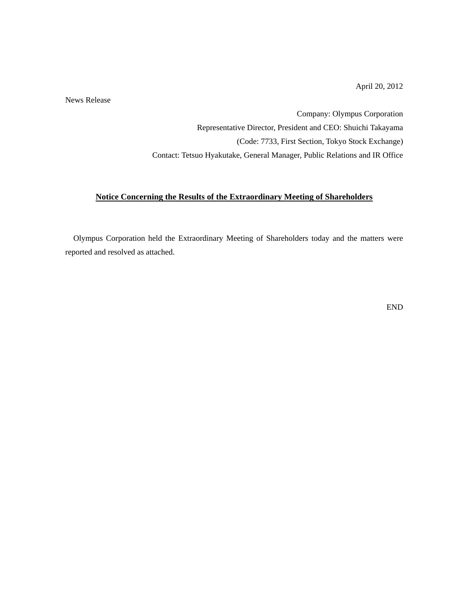April 20, 2012

News Release

Company: Olympus Corporation Representative Director, President and CEO: Shuichi Takayama (Code: 7733, First Section, Tokyo Stock Exchange) Contact: Tetsuo Hyakutake, General Manager, Public Relations and IR Office

### **Notice Concerning the Results of the Extraordinary Meeting of Shareholders**

Olympus Corporation held the Extraordinary Meeting of Shareholders today and the matters were reported and resolved as attached.

END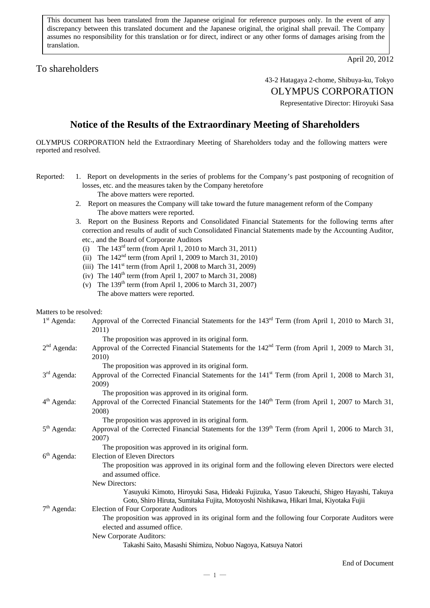This document has been translated from the Japanese original for reference purposes only. In the event of any discrepancy between this translated document and the Japanese original, the original shall prevail. The Company assumes no responsibility for this translation or for direct, indirect or any other forms of damages arising from the translation.

## To shareholders

April 20, 2012

## 43-2 Hatagaya 2-chome, Shibuya-ku, Tokyo OLYMPUS CORPORATION

Representative Director: Hiroyuki Sasa

# **Notice of the Results of the Extraordinary Meeting of Shareholders**

OLYMPUS CORPORATION held the Extraordinary Meeting of Shareholders today and the following matters were reported and resolved.

- Reported: 1. Report on developments in the series of problems for the Company's past postponing of recognition of losses, etc. and the measures taken by the Company heretofore The above matters were reported.
	- 2. Report on measures the Company will take toward the future management reform of the Company The above matters were reported.
	- 3. Report on the Business Reports and Consolidated Financial Statements for the following terms after correction and results of audit of such Consolidated Financial Statements made by the Accounting Auditor, etc., and the Board of Corporate Auditors
		- (i) The 143rd term (from April 1, 2010 to March 31, 2011)
		- (ii) The  $142<sup>nd</sup>$  term (from April 1, 2009 to March 31, 2010)
		- (iii) The  $141<sup>st</sup>$  term (from April 1, 2008 to March 31, 2009)
		- (iv) The  $140^{th}$  term (from April 1, 2007 to March 31, 2008)
		- (v) The  $139<sup>th</sup>$  term (from April 1, 2006 to March 31, 2007) The above matters were reported.

#### Matters to be resolved:

| $1st$ Agenda: | Approval of the Corrected Financial Statements for the 143 <sup>rd</sup> Term (from April 1, 2010 to March 31,<br>2011)                                                           |
|---------------|-----------------------------------------------------------------------------------------------------------------------------------------------------------------------------------|
|               | The proposition was approved in its original form.                                                                                                                                |
| $2nd$ Agenda: | Approval of the Corrected Financial Statements for the 142 <sup>nd</sup> Term (from April 1, 2009 to March 31,<br>2010)                                                           |
|               | The proposition was approved in its original form.                                                                                                                                |
| $3rd$ Agenda: | Approval of the Corrected Financial Statements for the 141 <sup>st</sup> Term (from April 1, 2008 to March 31,<br>2009)                                                           |
|               | The proposition was approved in its original form.                                                                                                                                |
| $4th$ Agenda: | Approval of the Corrected Financial Statements for the 140 <sup>th</sup> Term (from April 1, 2007 to March 31,<br>2008)                                                           |
|               | The proposition was approved in its original form.                                                                                                                                |
| $5th$ Agenda: | Approval of the Corrected Financial Statements for the 139 <sup>th</sup> Term (from April 1, 2006 to March 31,<br>2007)                                                           |
|               | The proposition was approved in its original form.                                                                                                                                |
| $6th$ Agenda: | <b>Election of Eleven Directors</b>                                                                                                                                               |
|               | The proposition was approved in its original form and the following eleven Directors were elected<br>and assumed office.                                                          |
|               | New Directors:                                                                                                                                                                    |
|               | Yasuyuki Kimoto, Hiroyuki Sasa, Hideaki Fujizuka, Yasuo Takeuchi, Shigeo Hayashi, Takuya<br>Goto, Shiro Hiruta, Sumitaka Fujita, Motoyoshi Nishikawa, Hikari Imai, Kiyotaka Fujii |
| $7th$ Agenda: | Election of Four Corporate Auditors                                                                                                                                               |
|               | The proposition was approved in its original form and the following four Corporate Auditors were                                                                                  |
|               | elected and assumed office.                                                                                                                                                       |
|               | New Corporate Auditors:                                                                                                                                                           |
|               | Takashi Saito, Masashi Shimizu, Nobuo Nagoya, Katsuya Natori                                                                                                                      |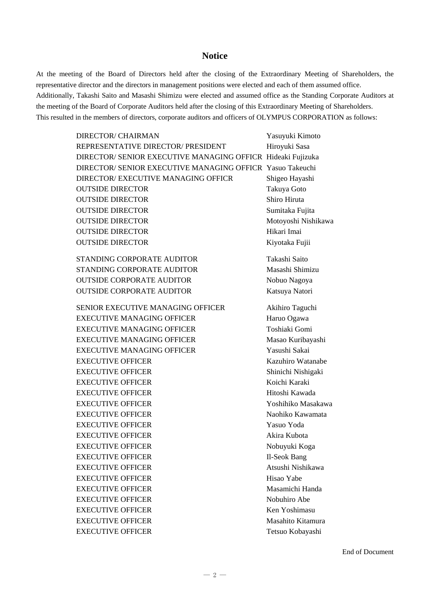## **Notice**

At the meeting of the Board of Directors held after the closing of the Extraordinary Meeting of Shareholders, the representative director and the directors in management positions were elected and each of them assumed office. Additionally, Takashi Saito and Masashi Shimizu were elected and assumed office as the Standing Corporate Auditors at the meeting of the Board of Corporate Auditors held after the closing of this Extraordinary Meeting of Shareholders. This resulted in the members of directors, corporate auditors and officers of OLYMPUS CORPORATION as follows:

| DIRECTOR/ CHAIRMAN                                          | Yasuyuki Kimoto     |
|-------------------------------------------------------------|---------------------|
| REPRESENTATIVE DIRECTOR/ PRESIDENT                          | Hiroyuki Sasa       |
| DIRECTOR/ SENIOR EXECUTIVE MANAGING OFFICR Hideaki Fujizuka |                     |
| DIRECTOR/ SENIOR EXECUTIVE MANAGING OFFICR Yasuo Takeuchi   |                     |
| DIRECTOR/ EXECUTIVE MANAGING OFFICR                         | Shigeo Hayashi      |
| <b>OUTSIDE DIRECTOR</b>                                     | Takuya Goto         |
| <b>OUTSIDE DIRECTOR</b>                                     | Shiro Hiruta        |
| <b>OUTSIDE DIRECTOR</b>                                     | Sumitaka Fujita     |
| <b>OUTSIDE DIRECTOR</b>                                     | Motoyoshi Nishikawa |
| <b>OUTSIDE DIRECTOR</b>                                     | Hikari Imai         |
| <b>OUTSIDE DIRECTOR</b>                                     | Kiyotaka Fujii      |
| STANDING CORPORATE AUDITOR                                  | Takashi Saito       |
| STANDING CORPORATE AUDITOR                                  | Masashi Shimizu     |
| <b>OUTSIDE CORPORATE AUDITOR</b>                            | Nobuo Nagoya        |
| <b>OUTSIDE CORPORATE AUDITOR</b>                            | Katsuya Natori      |
| <b>SENIOR EXECUTIVE MANAGING OFFICER</b>                    | Akihiro Taguchi     |
| <b>EXECUTIVE MANAGING OFFICER</b>                           | Haruo Ogawa         |
| <b>EXECUTIVE MANAGING OFFICER</b>                           | Toshiaki Gomi       |
| <b>EXECUTIVE MANAGING OFFICER</b>                           | Masao Kuribayashi   |
| <b>EXECUTIVE MANAGING OFFICER</b>                           | Yasushi Sakai       |
| <b>EXECUTIVE OFFICER</b>                                    | Kazuhiro Watanabe   |
| <b>EXECUTIVE OFFICER</b>                                    | Shinichi Nishigaki  |
| <b>EXECUTIVE OFFICER</b>                                    | Koichi Karaki       |
| <b>EXECUTIVE OFFICER</b>                                    | Hitoshi Kawada      |
| <b>EXECUTIVE OFFICER</b>                                    | Yoshihiko Masakawa  |
| <b>EXECUTIVE OFFICER</b>                                    | Naohiko Kawamata    |
| <b>EXECUTIVE OFFICER</b>                                    | Yasuo Yoda          |
| <b>EXECUTIVE OFFICER</b>                                    | Akira Kubota        |
| <b>EXECUTIVE OFFICER</b>                                    | Nobuyuki Koga       |
| <b>EXECUTIVE OFFICER</b>                                    | Il-Seok Bang        |
| <b>EXECUTIVE OFFICER</b>                                    | Atsushi Nishikawa   |
| <b>EXECUTIVE OFFICER</b>                                    | Hisao Yabe          |
| <b>EXECUTIVE OFFICER</b>                                    | Masamichi Handa     |
| <b>EXECUTIVE OFFICER</b>                                    | Nobuhiro Abe        |
| <b>EXECUTIVE OFFICER</b>                                    | Ken Yoshimasu       |
| <b>EXECUTIVE OFFICER</b>                                    | Masahito Kitamura   |
| <b>EXECUTIVE OFFICER</b>                                    | Tetsuo Kobayashi    |

End of Document